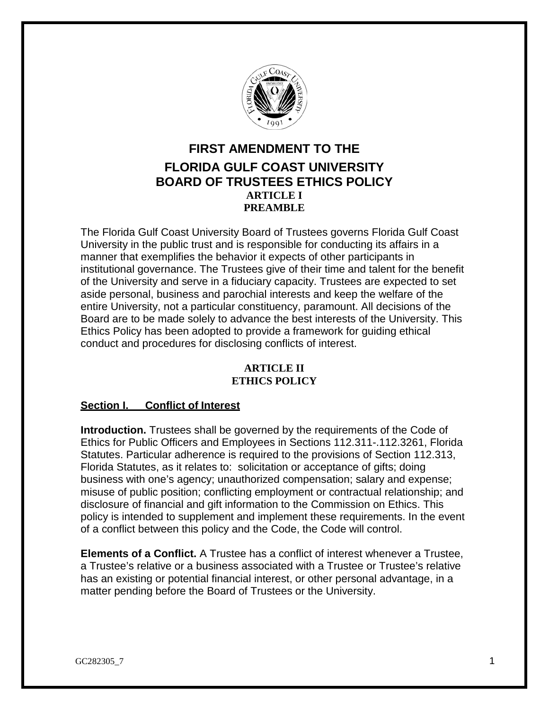

# **FIRST AMENDMENT TO THE FLORIDA GULF COAST UNIVERSITY BOARD OF TRUSTEES ETHICS POLICY ARTICLE I PREAMBLE**

The Florida Gulf Coast University Board of Trustees governs Florida Gulf Coast University in the public trust and is responsible for conducting its affairs in a manner that exemplifies the behavior it expects of other participants in institutional governance. The Trustees give of their time and talent for the benefit of the University and serve in a fiduciary capacity. Trustees are expected to set aside personal, business and parochial interests and keep the welfare of the entire University, not a particular constituency, paramount. All decisions of the Board are to be made solely to advance the best interests of the University. This Ethics Policy has been adopted to provide a framework for guiding ethical conduct and procedures for disclosing conflicts of interest.

## **ARTICLE II ETHICS POLICY**

## **Section I. Conflict of Interest**

**Introduction.** Trustees shall be governed by the requirements of the Code of Ethics for Public Officers and Employees in Sections 112.311-.112.3261, Florida Statutes. Particular adherence is required to the provisions of Section 112.313, Florida Statutes, as it relates to: solicitation or acceptance of gifts; doing business with one's agency; unauthorized compensation; salary and expense; misuse of public position; conflicting employment or contractual relationship; and disclosure of financial and gift information to the Commission on Ethics. This policy is intended to supplement and implement these requirements. In the event of a conflict between this policy and the Code, the Code will control.

**Elements of a Conflict.** A Trustee has a conflict of interest whenever a Trustee, a Trustee's relative or a business associated with a Trustee or Trustee's relative has an existing or potential financial interest, or other personal advantage, in a matter pending before the Board of Trustees or the University.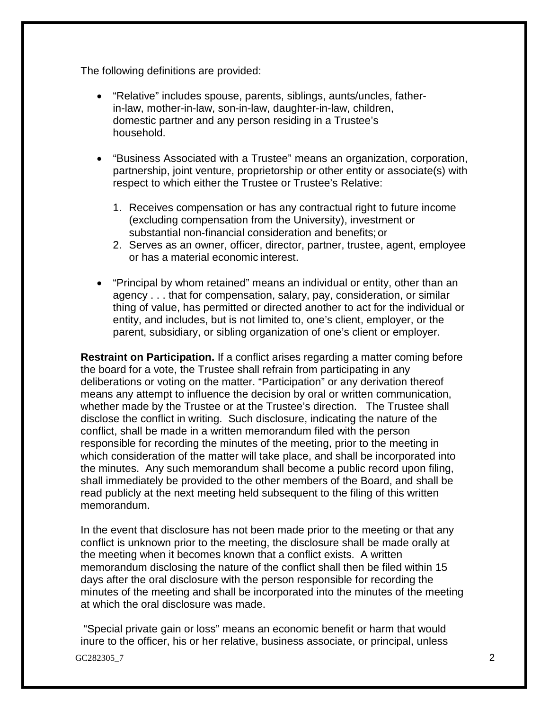The following definitions are provided:

- "Relative" includes spouse, parents, siblings, aunts/uncles, fatherin-law, mother-in-law, son-in-law, daughter-in-law, children, domestic partner and any person residing in a Trustee's household.
- "Business Associated with a Trustee" means an organization, corporation, partnership, joint venture, proprietorship or other entity or associate(s) with respect to which either the Trustee or Trustee's Relative:
	- 1. Receives compensation or has any contractual right to future income (excluding compensation from the University), investment or substantial non-financial consideration and benefits; or
	- 2. Serves as an owner, officer, director, partner, trustee, agent, employee or has a material economic interest.
- "Principal by whom retained" means an individual or entity, other than an agency . . . that for compensation, salary, pay, consideration, or similar thing of value, has permitted or directed another to act for the individual or entity, and includes, but is not limited to, one's client, employer, or the parent, subsidiary, or sibling organization of one's client or employer.

**Restraint on Participation.** If a conflict arises regarding a matter coming before the board for a vote, the Trustee shall refrain from participating in any deliberations or voting on the matter. "Participation" or any derivation thereof means any attempt to influence the decision by oral or written communication, whether made by the Trustee or at the Trustee's direction. The Trustee shall disclose the conflict in writing. Such disclosure, indicating the nature of the conflict, shall be made in a written memorandum filed with the person responsible for recording the minutes of the meeting, prior to the meeting in which consideration of the matter will take place, and shall be incorporated into the minutes. Any such memorandum shall become a public record upon filing, shall immediately be provided to the other members of the Board, and shall be read publicly at the next meeting held subsequent to the filing of this written memorandum.

In the event that disclosure has not been made prior to the meeting or that any conflict is unknown prior to the meeting, the disclosure shall be made orally at the meeting when it becomes known that a conflict exists. A written memorandum disclosing the nature of the conflict shall then be filed within 15 days after the oral disclosure with the person responsible for recording the minutes of the meeting and shall be incorporated into the minutes of the meeting at which the oral disclosure was made.

GC282305\_7 2 "Special private gain or loss" means an economic benefit or harm that would inure to the officer, his or her relative, business associate, or principal, unless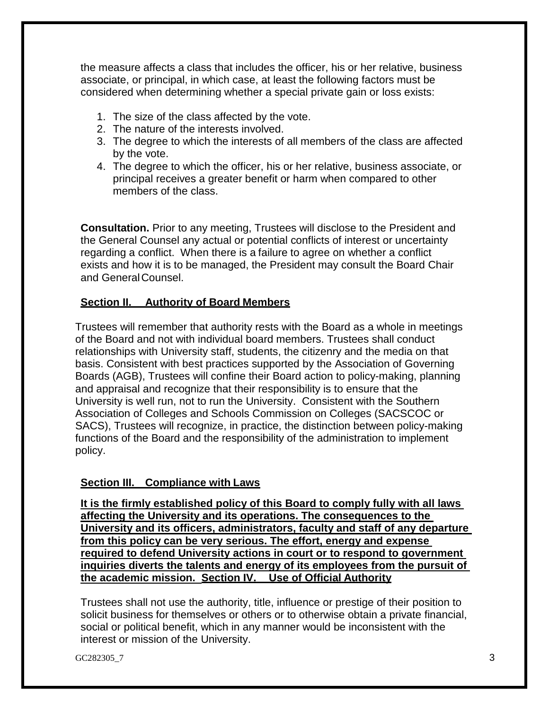the measure affects a class that includes the officer, his or her relative, business associate, or principal, in which case, at least the following factors must be considered when determining whether a special private gain or loss exists:

- 1. The size of the class affected by the vote.
- 2. The nature of the interests involved.
- 3. The degree to which the interests of all members of the class are affected by the vote.
- 4. The degree to which the officer, his or her relative, business associate, or principal receives a greater benefit or harm when compared to other members of the class.

**Consultation.** Prior to any meeting, Trustees will disclose to the President and the General Counsel any actual or potential conflicts of interest or uncertainty regarding a conflict. When there is a failure to agree on whether a conflict exists and how it is to be managed, the President may consult the Board Chair and GeneralCounsel.

# **Section II. Authority of Board Members**

Trustees will remember that authority rests with the Board as a whole in meetings of the Board and not with individual board members. Trustees shall conduct relationships with University staff, students, the citizenry and the media on that basis. Consistent with best practices supported by the Association of Governing Boards (AGB), Trustees will confine their Board action to policy-making, planning and appraisal and recognize that their responsibility is to ensure that the University is well run, not to run the University. Consistent with the Southern Association of Colleges and Schools Commission on Colleges (SACSCOC or SACS), Trustees will recognize, in practice, the distinction between policy-making functions of the Board and the responsibility of the administration to implement policy.

## **Section III. Compliance with Laws**

**It is the firmly established policy of this Board to comply fully with all laws affecting the University and its operations. The consequences to the University and its officers, administrators, faculty and staff of any departure from this policy can be very serious. The effort, energy and expense required to defend University actions in court or to respond to government inquiries diverts the talents and energy of its employees from the pursuit of the academic mission. Section IV. Use of Official Authority**

Trustees shall not use the authority, title, influence or prestige of their position to solicit business for themselves or others or to otherwise obtain a private financial, social or political benefit, which in any manner would be inconsistent with the interest or mission of the University.

GC282305\_7  $\qquad \qquad$  3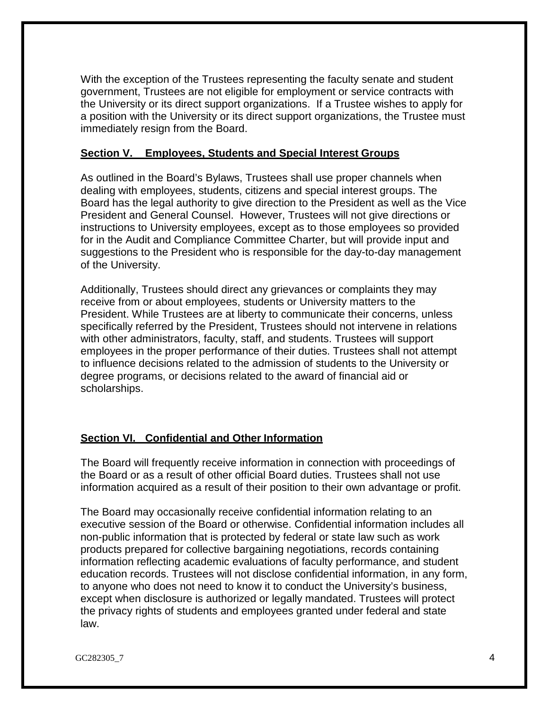With the exception of the Trustees representing the faculty senate and student government, Trustees are not eligible for employment or service contracts with the University or its direct support organizations. If a Trustee wishes to apply for a position with the University or its direct support organizations, the Trustee must immediately resign from the Board.

#### **Section V. Employees, Students and Special Interest Groups**

As outlined in the Board's Bylaws, Trustees shall use proper channels when dealing with employees, students, citizens and special interest groups. The Board has the legal authority to give direction to the President as well as the Vice President and General Counsel. However, Trustees will not give directions or instructions to University employees, except as to those employees so provided for in the Audit and Compliance Committee Charter, but will provide input and suggestions to the President who is responsible for the day-to-day management of the University.

Additionally, Trustees should direct any grievances or complaints they may receive from or about employees, students or University matters to the President. While Trustees are at liberty to communicate their concerns, unless specifically referred by the President, Trustees should not intervene in relations with other administrators, faculty, staff, and students. Trustees will support employees in the proper performance of their duties. Trustees shall not attempt to influence decisions related to the admission of students to the University or degree programs, or decisions related to the award of financial aid or scholarships.

## **Section VI. Confidential and Other Information**

The Board will frequently receive information in connection with proceedings of the Board or as a result of other official Board duties. Trustees shall not use information acquired as a result of their position to their own advantage or profit.

The Board may occasionally receive confidential information relating to an executive session of the Board or otherwise. Confidential information includes all non-public information that is protected by federal or state law such as work products prepared for collective bargaining negotiations, records containing information reflecting academic evaluations of faculty performance, and student education records. Trustees will not disclose confidential information, in any form, to anyone who does not need to know it to conduct the University's business, except when disclosure is authorized or legally mandated. Trustees will protect the privacy rights of students and employees granted under federal and state law.